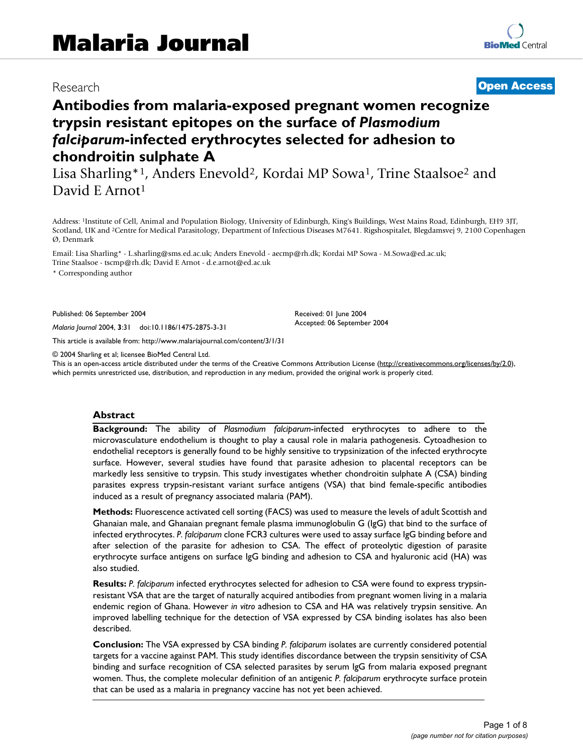# Research **[Open Access](http://www.biomedcentral.com/info/about/charter/)**

# **Antibodies from malaria-exposed pregnant women recognize trypsin resistant epitopes on the surface of** *Plasmodium falciparum***-infected erythrocytes selected for adhesion to chondroitin sulphate A**

Lisa Sharling\*<sup>1</sup>, Anders Enevold<sup>2</sup>, Kordai MP Sowa<sup>1</sup>, Trine Staalsoe<sup>2</sup> and David E Arnot<sup>1</sup>

Address: 1Institute of Cell, Animal and Population Biology, University of Edinburgh, King's Buildings, West Mains Road, Edinburgh, EH9 3JT, Scotland, UK and 2Centre for Medical Parasitology, Department of Infectious Diseases M7641. Rigshospitalet, Blegdamsvej 9, 2100 Copenhagen Ø, Denmark

Email: Lisa Sharling\* - L.sharling@sms.ed.ac.uk; Anders Enevold - aecmp@rh.dk; Kordai MP Sowa - M.Sowa@ed.ac.uk; Trine Staalsoe - tscmp@rh.dk; David E Arnot - d.e.arnot@ed.ac.uk

\* Corresponding author

Published: 06 September 2004

*Malaria Journal* 2004, **3**:31 doi:10.1186/1475-2875-3-31

[This article is available from: http://www.malariajournal.com/content/3/1/31](http://www.malariajournal.com/content/3/1/31)

© 2004 Sharling et al; licensee BioMed Central Ltd.

This is an open-access article distributed under the terms of the Creative Commons Attribution License (<http://creativecommons.org/licenses/by/2.0>), which permits unrestricted use, distribution, and reproduction in any medium, provided the original work is properly cited.

Received: 01 June 2004 Accepted: 06 September 2004

#### **Abstract**

**Background:** The ability of *Plasmodium falciparum*-infected erythrocytes to adhere to the microvasculature endothelium is thought to play a causal role in malaria pathogenesis. Cytoadhesion to endothelial receptors is generally found to be highly sensitive to trypsinization of the infected erythrocyte surface. However, several studies have found that parasite adhesion to placental receptors can be markedly less sensitive to trypsin. This study investigates whether chondroitin sulphate A (CSA) binding parasites express trypsin-resistant variant surface antigens (VSA) that bind female-specific antibodies induced as a result of pregnancy associated malaria (PAM).

**Methods:** Fluorescence activated cell sorting (FACS) was used to measure the levels of adult Scottish and Ghanaian male, and Ghanaian pregnant female plasma immunoglobulin G (IgG) that bind to the surface of infected erythrocytes. *P. falciparum* clone FCR3 cultures were used to assay surface IgG binding before and after selection of the parasite for adhesion to CSA. The effect of proteolytic digestion of parasite erythrocyte surface antigens on surface IgG binding and adhesion to CSA and hyaluronic acid (HA) was also studied.

**Results:** *P. falciparum* infected erythrocytes selected for adhesion to CSA were found to express trypsinresistant VSA that are the target of naturally acquired antibodies from pregnant women living in a malaria endemic region of Ghana. However *in vitro* adhesion to CSA and HA was relatively trypsin sensitive. An improved labelling technique for the detection of VSA expressed by CSA binding isolates has also been described.

**Conclusion:** The VSA expressed by CSA binding *P. falciparum* isolates are currently considered potential targets for a vaccine against PAM. This study identifies discordance between the trypsin sensitivity of CSA binding and surface recognition of CSA selected parasites by serum IgG from malaria exposed pregnant women. Thus, the complete molecular definition of an antigenic *P. falciparum* erythrocyte surface protein that can be used as a malaria in pregnancy vaccine has not yet been achieved.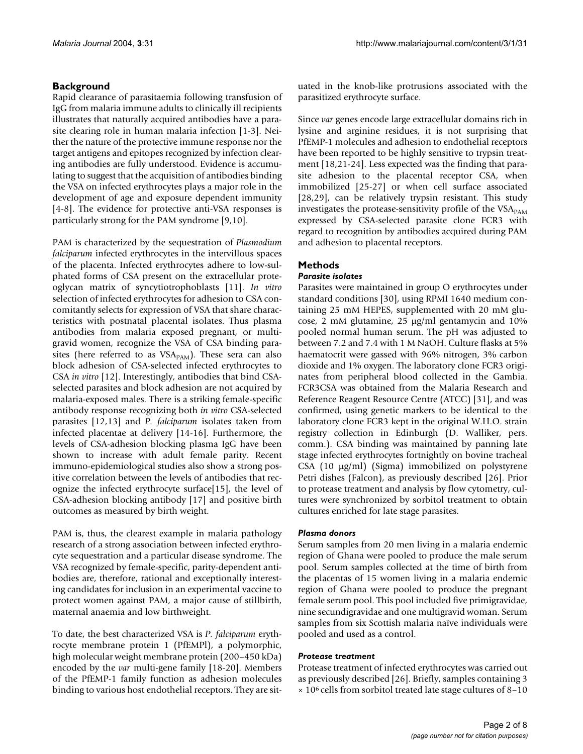# **Background**

Rapid clearance of parasitaemia following transfusion of IgG from malaria immune adults to clinically ill recipients illustrates that naturally acquired antibodies have a parasite clearing role in human malaria infection [[1](#page-6-0)[-3\]](#page-6-1). Neither the nature of the protective immune response nor the target antigens and epitopes recognized by infection clearing antibodies are fully understood. Evidence is accumulating to suggest that the acquisition of antibodies binding the VSA on infected erythrocytes plays a major role in the development of age and exposure dependent immunity [4[-8](#page-6-2)]. The evidence for protective anti-VSA responses is particularly strong for the PAM syndrome [9,10].

PAM is characterized by the sequestration of *Plasmodium falciparum* infected erythrocytes in the intervillous spaces of the placenta. Infected erythrocytes adhere to low-sulphated forms of CSA present on the extracellular proteoglycan matrix of syncytiotrophoblasts [\[11\]](#page-6-3). *In vitro* selection of infected erythrocytes for adhesion to CSA concomitantly selects for expression of VSA that share characteristics with postnatal placental isolates. Thus plasma antibodies from malaria exposed pregnant, or multigravid women, recognize the VSA of CSA binding parasites (here referred to as  $VSA<sub>PAM</sub>$ ). These sera can also block adhesion of CSA-selected infected erythrocytes to CSA *in vitro* [[12\]](#page-6-4). Interestingly, antibodies that bind CSAselected parasites and block adhesion are not acquired by malaria-exposed males. There is a striking female-specific antibody response recognizing both *in vitro* CSA-selected parasites [[12](#page-6-4),[13\]](#page-6-5) and *P. falciparum* isolates taken from infected placentae at delivery [[14-](#page-6-6)[16](#page-6-7)]. Furthermore, the levels of CSA-adhesion blocking plasma IgG have been shown to increase with adult female parity. Recent immuno-epidemiological studies also show a strong positive correlation between the levels of antibodies that recognize the infected erythrocyte surface[[15\]](#page-6-8), the level of CSA-adhesion blocking antibody [\[17](#page-6-9)] and positive birth outcomes as measured by birth weight.

PAM is, thus, the clearest example in malaria pathology research of a strong association between infected erythrocyte sequestration and a particular disease syndrome. The VSA recognized by female-specific, parity-dependent antibodies are, therefore, rational and exceptionally interesting candidates for inclusion in an experimental vaccine to protect women against PAM, a major cause of stillbirth, maternal anaemia and low birthweight.

To date, the best characterized VSA is *P. falciparum* erythrocyte membrane protein 1 (PfEMPl), a polymorphic, high molecular weight membrane protein (200–450 kDa) encoded by the *var* multi-gene family [[18-](#page-6-10)[20\]](#page-6-11). Members of the PfEMP-1 family function as adhesion molecules binding to various host endothelial receptors. They are situated in the knob-like protrusions associated with the parasitized erythrocyte surface.

Since *var* genes encode large extracellular domains rich in lysine and arginine residues, it is not surprising that PfEMP-1 molecules and adhesion to endothelial receptors have been reported to be highly sensitive to trypsin treatment [\[18](#page-6-10)[,21](#page-6-12)[-24](#page-6-13)]. Less expected was the finding that parasite adhesion to the placental receptor CSA, when immobilized [\[25-](#page-6-14)[27\]](#page-7-0) or when cell surface associated [[28](#page-7-1),[29\]](#page-7-2), can be relatively trypsin resistant. This study investigates the protease-sensitivity profile of the VSA<sub>PAM</sub> expressed by CSA-selected parasite clone FCR3 with regard to recognition by antibodies acquired during PAM and adhesion to placental receptors.

# **Methods**

### *Parasite isolates*

Parasites were maintained in group O erythrocytes under standard conditions [30], using RPMI 1640 medium containing 25 mM HEPES, supplemented with 20 mM glucose, 2 mM glutamine, 25 µg/ml gentamycin and 10% pooled normal human serum. The pH was adjusted to between 7.2 and 7.4 with 1 M NaOH. Culture flasks at 5% haematocrit were gassed with 96% nitrogen, 3% carbon dioxide and 1% oxygen. The laboratory clone FCR3 originates from peripheral blood collected in the Gambia. FCR3CSA was obtained from the Malaria Research and Reference Reagent Resource Centre (ATCC) [31], and was confirmed, using genetic markers to be identical to the laboratory clone FCR3 kept in the original W.H.O. strain registry collection in Edinburgh (D. Walliker, pers. comm.). CSA binding was maintained by panning late stage infected erythrocytes fortnightly on bovine tracheal CSA (10 µg/ml) (Sigma) immobilized on polystyrene Petri dishes (Falcon), as previously described [[26\]](#page-7-3). Prior to protease treatment and analysis by flow cytometry, cultures were synchronized by sorbitol treatment to obtain cultures enriched for late stage parasites.

# *Plasma donors*

Serum samples from 20 men living in a malaria endemic region of Ghana were pooled to produce the male serum pool. Serum samples collected at the time of birth from the placentas of 15 women living in a malaria endemic region of Ghana were pooled to produce the pregnant female serum pool. This pool included five primigravidae, nine secundigravidae and one multigravid woman. Serum samples from six Scottish malaria naïve individuals were pooled and used as a control.

#### *Protease treatment*

Protease treatment of infected erythrocytes was carried out as previously described [[26\]](#page-7-3). Briefly, samples containing 3 × 106 cells from sorbitol treated late stage cultures of 8–10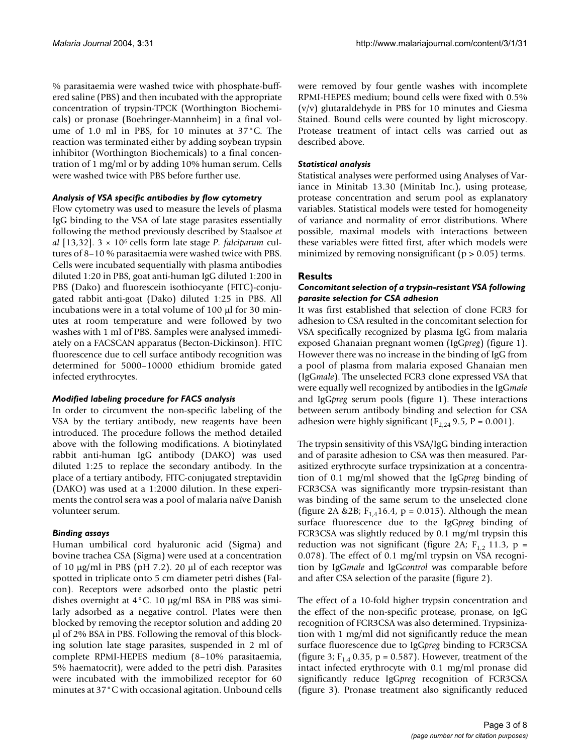% parasitaemia were washed twice with phosphate-buffered saline (PBS) and then incubated with the appropriate concentration of trypsin-TPCK (Worthington Biochemicals) or pronase (Boehringer-Mannheim) in a final volume of 1.0 ml in PBS, for 10 minutes at 37°C. The reaction was terminated either by adding soybean trypsin inhibitor (Worthington Biochemicals) to a final concentration of 1 mg/ml or by adding 10% human serum. Cells were washed twice with PBS before further use.

### *Analysis of VSA specific antibodies by flow cytometry*

Flow cytometry was used to measure the levels of plasma IgG binding to the VSA of late stage parasites essentially following the method previously described by Staalsoe *et al* [\[13](#page-6-5)[,32](#page-7-4)]. 3 × 106 cells form late stage *P. falciparum* cultures of 8–10 % parasitaemia were washed twice with PBS. Cells were incubated sequentially with plasma antibodies diluted 1:20 in PBS, goat anti-human IgG diluted 1:200 in PBS (Dako) and fluorescein isothiocyante (FITC)-conjugated rabbit anti-goat (Dako) diluted 1:25 in PBS. All incubations were in a total volume of  $100 \mu$ l for  $30 \mu$ utes at room temperature and were followed by two washes with 1 ml of PBS. Samples were analysed immediately on a FACSCAN apparatus (Becton-Dickinson). FITC fluorescence due to cell surface antibody recognition was determined for 5000–10000 ethidium bromide gated infected erythrocytes.

# *Modified labeling procedure for FACS analysis*

In order to circumvent the non-specific labeling of the VSA by the tertiary antibody, new reagents have been introduced. The procedure follows the method detailed above with the following modifications. A biotinylated rabbit anti-human IgG antibody (DAKO) was used diluted 1:25 to replace the secondary antibody. In the place of a tertiary antibody, FITC-conjugated streptavidin (DAKO) was used at a 1:2000 dilution. In these experiments the control sera was a pool of malaria naïve Danish volunteer serum.

# *Binding assays*

Human umbilical cord hyaluronic acid (Sigma) and bovine trachea CSA (Sigma) were used at a concentration of 10  $\mu$ g/ml in PBS (pH 7.2). 20  $\mu$ l of each receptor was spotted in triplicate onto 5 cm diameter petri dishes (Falcon). Receptors were adsorbed onto the plastic petri dishes overnight at 4°C. 10 µg/ml BSA in PBS was similarly adsorbed as a negative control. Plates were then blocked by removing the receptor solution and adding 20 µl of 2% BSA in PBS. Following the removal of this blocking solution late stage parasites, suspended in 2 ml of complete RPMI-HEPES medium (8–10% parasitaemia, 5% haematocrit), were added to the petri dish. Parasites were incubated with the immobilized receptor for 60 minutes at 37°C with occasional agitation. Unbound cells

were removed by four gentle washes with incomplete RPMI-HEPES medium; bound cells were fixed with 0.5% (v/v) glutaraldehyde in PBS for 10 minutes and Giesma Stained. Bound cells were counted by light microscopy. Protease treatment of intact cells was carried out as described above.

# *Statistical analysis*

Statistical analyses were performed using Analyses of Variance in Minitab 13.30 (Minitab Inc.), using protease, protease concentration and serum pool as explanatory variables. Statistical models were tested for homogeneity of variance and normality of error distributions. Where possible, maximal models with interactions between these variables were fitted first, after which models were minimized by removing nonsignificant ( $p > 0.05$ ) terms.

# **Results**

# *Concomitant selection of a trypsin-resistant VSA following parasite selection for CSA adhesion*

It was first established that selection of clone FCR3 for adhesion to CSA resulted in the concomitant selection for VSA specifically recognized by plasma IgG from malaria exposed Ghanaian pregnant women (IgG*preg*) (figure [1\)](#page-3-0). However there was no increase in the binding of IgG from a pool of plasma from malaria exposed Ghanaian men (IgG*male*). The unselected FCR3 clone expressed VSA that were equally well recognized by antibodies in the IgG*male* and IgG*preg* serum pools (figure [1](#page-3-0)). These interactions between serum antibody binding and selection for CSA adhesion were highly significant ( $F_{2,24}$  9.5, P = 0.001).

The trypsin sensitivity of this VSA/IgG binding interaction and of parasite adhesion to CSA was then measured. Parasitized erythrocyte surface trypsinization at a concentration of 0.1 mg/ml showed that the IgG*preg* binding of FCR3CSA was significantly more trypsin-resistant than was binding of the same serum to the unselected clone (figure [2A](#page-3-1) &[2](#page-3-1)B;  $F_{1,4}$ 16.4, p = 0.015). Although the mean surface fluorescence due to the IgG*preg* binding of FCR3CSA was slightly reduced by 0.1 mg/ml trypsin this reduction was not significant (figure [2A](#page-3-1);  $F_{1,2}$  11.3,  $p =$ 0.078). The effect of 0.1 mg/ml trypsin on VSA recognition by IgG*male* and IgG*control* was comparable before and after CSA selection of the parasite (figure [2](#page-3-1)).

The effect of a 10-fold higher trypsin concentration and the effect of the non-specific protease, pronase, on IgG recognition of FCR3CSA was also determined. Trypsinization with 1 mg/ml did not significantly reduce the mean surface fluorescence due to IgG*preg* binding to FCR3CSA (figure 3;  $F_{1,4}$  0.35, p = 0.587). However, treatment of the intact infected erythrocyte with 0.1 mg/ml pronase did significantly reduce IgG*preg* recognition of FCR3CSA (figure 3). Pronase treatment also significantly reduced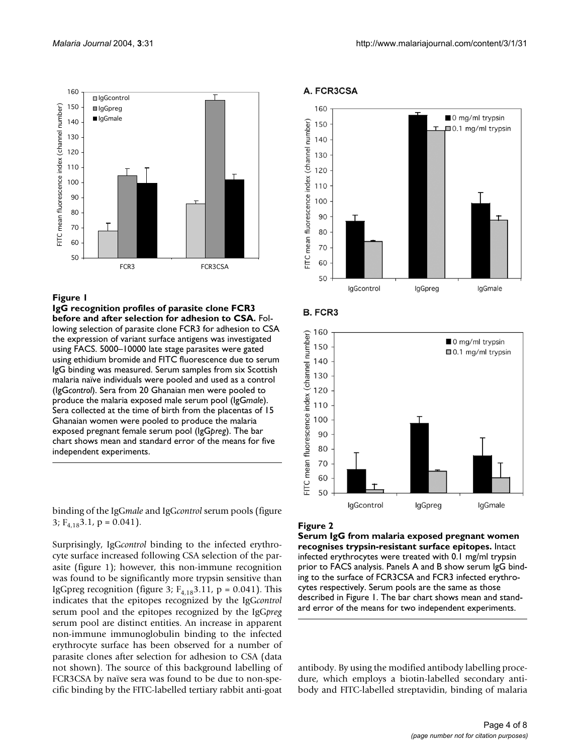<span id="page-3-0"></span>

#### Figure 1

**IgG recognition profiles of parasite clone FCR3 before and after selection for adhesion to CSA.** Following selection of parasite clone FCR3 for adhesion to CSA the expression of variant surface antigens was investigated using FACS. 5000–10000 late stage parasites were gated using ethidium bromide and FITC fluorescence due to serum IgG binding was measured. Serum samples from six Scottish malaria naïve individuals were pooled and used as a control (IgG*control*). Sera from 20 Ghanaian men were pooled to produce the malaria exposed male serum pool (IgG*male*). Sera collected at the time of birth from the placentas of 15 Ghanaian women were pooled to produce the malaria exposed pregnant female serum pool (IgG*preg*). The bar chart shows mean and standard error of the means for five independent experiments.

binding of the IgG*male* and IgG*control* serum pools (figure 3;  $F_{4,18}3.1$ ,  $p = 0.041$ ).

Surprisingly, IgG*control* binding to the infected erythrocyte surface increased following CSA selection of the parasite (figure [1](#page-3-0)); however, this non-immune recognition was found to be significantly more trypsin sensitive than IgGpreg recognition (figure 3;  $F_{4,18}$ 3.11, p = 0.041). This indicates that the epitopes recognized by the IgG*control* serum pool and the epitopes recognized by the IgG*preg* serum pool are distinct entities. An increase in apparent non-immune immunoglobulin binding to the infected erythrocyte surface has been observed for a number of parasite clones after selection for adhesion to CSA (data not shown). The source of this background labelling of FCR3CSA by naïve sera was found to be due to non-specific binding by the FITC-labelled tertiary rabbit anti-goat

<span id="page-3-1"></span>







#### Figure 2

**Serum IgG from malaria exposed pregnant women recognises trypsin-resistant surface epitopes.** Intact infected erythrocytes were treated with 0.1 mg/ml trypsin prior to FACS analysis. Panels A and B show serum IgG binding to the surface of FCR3CSA and FCR3 infected erythrocytes respectively. Serum pools are the same as those described in Figure 1. The bar chart shows mean and standard error of the means for two independent experiments.

antibody. By using the modified antibody labelling procedure, which employs a biotin-labelled secondary antibody and FITC-labelled streptavidin, binding of malaria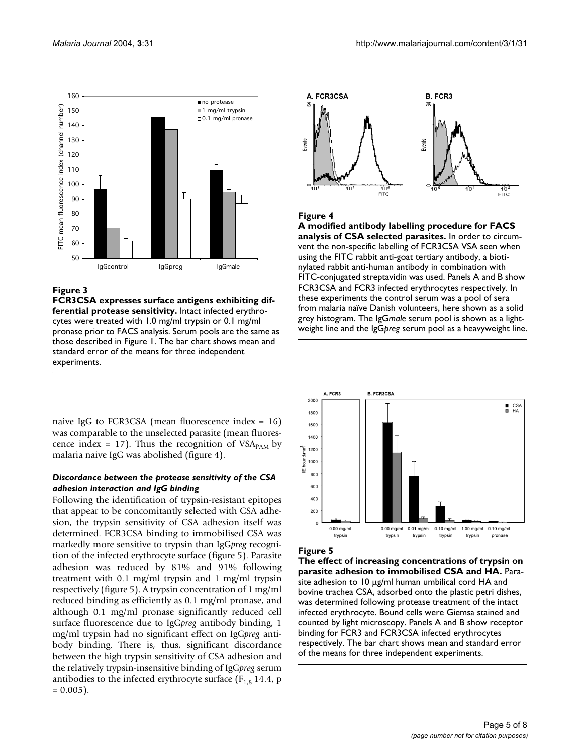

# Figure 3

**FCR3CSA expresses surface antigens exhibiting differential protease sensitivity.** Intact infected erythrocytes were treated with 1.0 mg/ml trypsin or 0.1 mg/ml pronase prior to FACS analysis. Serum pools are the same as those described in Figure 1. The bar chart shows mean and standard error of the means for three independent experiments.

naive IgG to FCR3CSA (mean fluorescence index = 16) was comparable to the unselected parasite (mean fluorescence index = 17). Thus the recognition of  $VSA<sub>PAM</sub>$  by malaria naive IgG was abolished (figure 4).

# *Discordance between the protease sensitivity of the CSA adhesion interaction and IgG binding*

Following the identification of trypsin-resistant epitopes that appear to be concomitantly selected with CSA adhesion, the trypsin sensitivity of CSA adhesion itself was determined. FCR3CSA binding to immobilised CSA was markedly more sensitive to trypsin than IgG*preg* recognition of the infected erythrocyte surface (figure [5\)](#page-4-0). Parasite adhesion was reduced by 81% and 91% following treatment with 0.1 mg/ml trypsin and 1 mg/ml trypsin respectively (figure [5](#page-4-0)). A trypsin concentration of 1 mg/ml reduced binding as efficiently as 0.1 mg/ml pronase, and although 0.1 mg/ml pronase significantly reduced cell surface fluorescence due to IgG*preg* antibody binding, 1 mg/ml trypsin had no significant effect on IgG*preg* antibody binding. There is, thus, significant discordance between the high trypsin sensitivity of CSA adhesion and the relatively trypsin-insensitive binding of IgG*preg* serum antibodies to the infected erythrocyte surface  $(F_{1,8} 14.4, p)$  $= 0.005$ ).



# Figure 4

**A modified antibody labelling procedure for FACS analysis of CSA selected parasites.** In order to circumvent the non-specific labelling of FCR3CSA VSA seen when using the FITC rabbit anti-goat tertiary antibody, a biotinylated rabbit anti-human antibody in combination with FITC-conjugated streptavidin was used. Panels A and B show FCR3CSA and FCR3 infected erythrocytes respectively. In these experiments the control serum was a pool of sera from malaria naïve Danish volunteers, here shown as a solid grey histogram. The IgG*male* serum pool is shown as a lightweight line and the IgG*preg* serum pool as a heavyweight line.

<span id="page-4-0"></span>

# Figure 5

**The effect of increasing concentrations of trypsin on parasite adhesion to immobilised CSA and HA.** Parasite adhesion to 10 µg/ml human umbilical cord HA and bovine trachea CSA, adsorbed onto the plastic petri dishes, was determined following protease treatment of the intact infected erythrocyte. Bound cells were Giemsa stained and counted by light microscopy. Panels A and B show receptor binding for FCR3 and FCR3CSA infected erythrocytes respectively. The bar chart shows mean and standard error of the means for three independent experiments.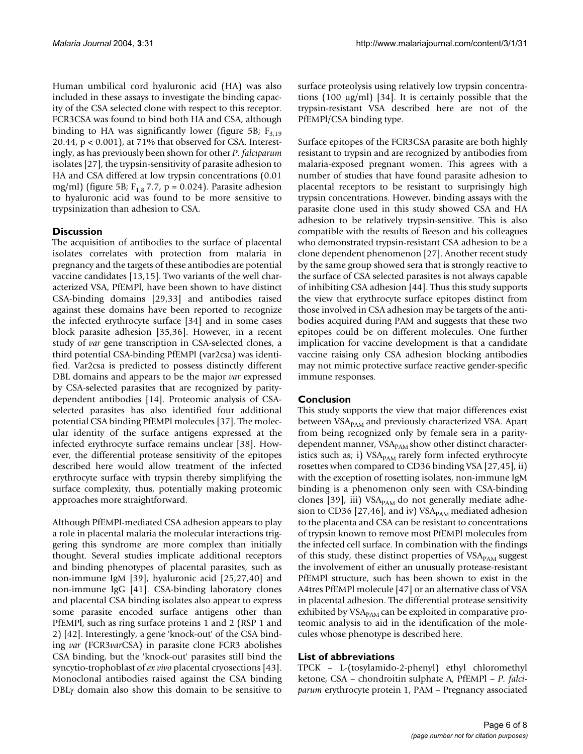Human umbilical cord hyaluronic acid (HA) was also included in these assays to investigate the binding capacity of the CSA selected clone with respect to this receptor. FCR3CSA was found to bind both HA and CSA, although binding to HA was significantly lower (figure [5](#page-4-0)B;  $F_{3,19}$ ) 20.44, p < 0.001), at 71% that observed for CSA. Interestingly, as has previously been shown for other *P. falciparum* isolates [[27](#page-7-0)], the trypsin-sensitivity of parasite adhesion to HA and CSA differed at low trypsin concentrations (0.01 mg/ml) (figure [5B](#page-4-0);  $F_{1,8}$  7.7, p = 0.024). Parasite adhesion to hyaluronic acid was found to be more sensitive to trypsinization than adhesion to CSA.

# **Discussion**

The acquisition of antibodies to the surface of placental isolates correlates with protection from malaria in pregnancy and the targets of these antibodies are potential vaccine candidates [\[13](#page-6-5),[15](#page-6-8)]. Two variants of the well characterized VSA, PfEMPl, have been shown to have distinct CSA-binding domains [[29](#page-7-2)[,33](#page-7-5)] and antibodies raised against these domains have been reported to recognize the infected erythrocyte surface [[34](#page-7-6)] and in some cases block parasite adhesion [[35](#page-7-7),[36\]](#page-7-8). However, in a recent study of *var* gene transcription in CSA-selected clones, a third potential CSA-binding PfEMPl (var2csa) was identified. Var2csa is predicted to possess distinctly different DBL domains and appears to be the major *var* expressed by CSA-selected parasites that are recognized by paritydependent antibodies [\[14](#page-6-6)]. Proteomic analysis of CSAselected parasites has also identified four additional potential CSA binding PfEMPl molecules [\[37\]](#page-7-9). The molecular identity of the surface antigens expressed at the infected erythrocyte surface remains unclear [[38\]](#page-7-10). However, the differential protease sensitivity of the epitopes described here would allow treatment of the infected erythrocyte surface with trypsin thereby simplifying the surface complexity, thus, potentially making proteomic approaches more straightforward.

Although PfEMPl-mediated CSA adhesion appears to play a role in placental malaria the molecular interactions triggering this syndrome are more complex than initially thought. Several studies implicate additional receptors and binding phenotypes of placental parasites, such as non-immune IgM [[39](#page-7-11)], hyaluronic acid [\[25](#page-6-14)[,27](#page-7-0),[40](#page-7-12)] and non-immune IgG [41]. CSA-binding laboratory clones and placental CSA binding isolates also appear to express some parasite encoded surface antigens other than PfEMPl, such as ring surface proteins 1 and 2 (RSP 1 and 2) [\[42](#page-7-13)]. Interestingly, a gene 'knock-out' of the CSA binding *var* (FCR3*var*CSA) in parasite clone FCR3 abolishes CSA binding, but the 'knock-out' parasites still bind the syncytio-trophoblast of *ex vivo* placental cryosections [\[43](#page-7-14)]. Monoclonal antibodies raised against the CSA binding DBLγ domain also show this domain to be sensitive to

surface proteolysis using relatively low trypsin concentrations (100 µg/ml) [\[34](#page-7-6)]. It is certainly possible that the trypsin-resistant VSA described here are not of the PfEMPl/CSA binding type.

Surface epitopes of the FCR3CSA parasite are both highly resistant to trypsin and are recognized by antibodies from malaria-exposed pregnant women. This agrees with a number of studies that have found parasite adhesion to placental receptors to be resistant to surprisingly high trypsin concentrations. However, binding assays with the parasite clone used in this study showed CSA and HA adhesion to be relatively trypsin-sensitive. This is also compatible with the results of Beeson and his colleagues who demonstrated trypsin-resistant CSA adhesion to be a clone dependent phenomenon [\[27](#page-7-0)]. Another recent study by the same group showed sera that is strongly reactive to the surface of CSA selected parasites is not always capable of inhibiting CSA adhesion [[44\]](#page-7-15). Thus this study supports the view that erythrocyte surface epitopes distinct from those involved in CSA adhesion may be targets of the antibodies acquired during PAM and suggests that these two epitopes could be on different molecules. One further implication for vaccine development is that a candidate vaccine raising only CSA adhesion blocking antibodies may not mimic protective surface reactive gender-specific immune responses.

# **Conclusion**

This study supports the view that major differences exist between  $VSA<sub>PAM</sub>$  and previously characterized VSA. Apart from being recognized only by female sera in a paritydependent manner,  $VSA<sub>PAM</sub>$  show other distinct characteristics such as; i)  $VSA<sub>PAM</sub>$  rarely form infected erythrocyte rosettes when compared to CD36 binding VSA [\[27](#page-7-0)[,45](#page-7-16)], ii) with the exception of rosetting isolates, non-immune IgM binding is a phenomenon only seen with CSA-binding clones [[39\]](#page-7-11), iii) VSA $_{PAM}$  do not generally mediate adhe-sion to CD36 [[27](#page-7-0),[46\]](#page-7-17), and iv) VSA $_{\mathrm{PAM}}$  mediated adhesion to the placenta and CSA can be resistant to concentrations of trypsin known to remove most PfEMPl molecules from the infected cell surface. In combination with the findings of this study, these distinct properties of  $VSA<sub>PAM</sub>$  suggest the involvement of either an unusually protease-resistant PfEMPl structure, such has been shown to exist in the A4tres PfEMPl molecule [[47\]](#page-7-18) or an alternative class of VSA in placental adhesion. The differential protease sensitivity exhibited by  $VSA<sub>PAM</sub>$  can be exploited in comparative proteomic analysis to aid in the identification of the molecules whose phenotype is described here.

# **List of abbreviations**

TPCK – L-(tosylamido-2-phenyl) ethyl chloromethyl ketone, CSA – chondroitin sulphate A, PfEMPl – *P. falciparum* erythrocyte protein 1, PAM – Pregnancy associated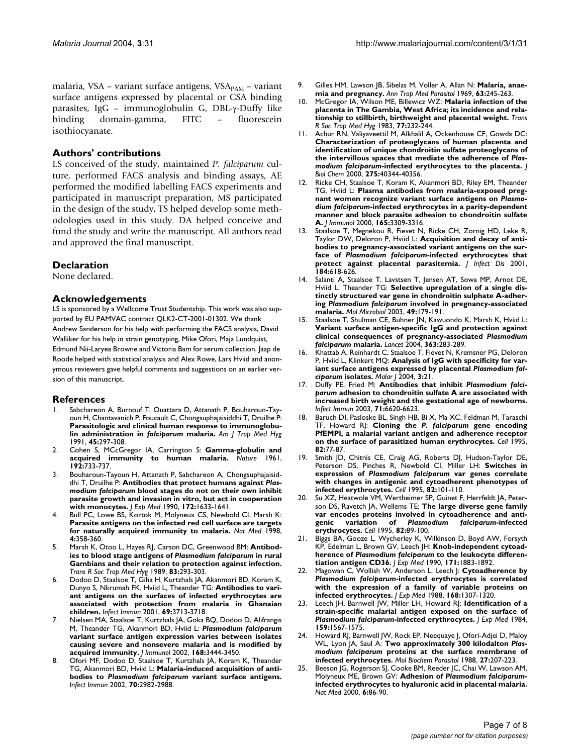malaria, VSA – variant surface antigens, VSA $_{PAM}$  – variant surface antigens expressed by placental or CSA binding parasites, IgG – immunoglobulin G, DBL-γ-Duffy like binding domain-gamma, FITC – fluorescein isothiocyanate.

### **Authors' contributions**

LS conceived of the study, maintained *P. falciparum* culture, performed FACS analysis and binding assays, AE performed the modified labelling FACS experiments and participated in manuscript preparation, MS participated in the design of the study, TS helped develop some methodologies used in this study. DA helped conceive and fund the study and write the manuscript. All authors read and approved the final manuscript.

# **Declaration**

None declared.

#### **Acknowledgements**

LS is sponsored by a Wellcome Trust Studentship. This work was also supported by EU PAMVAC contract QLK2-CT-2001-01302. We thank Andrew Sanderson for his help with performing the FACS analysis, David Walliker for his help in strain genotyping, Mike Ofori, Maja Lundquist, Edmund Nii-Laryea Browne and Victoria Bam for serum collection. Jaap de Roode helped with statistical analysis and Alex Rowe, Lars Hviid and anonymous reviewers gave helpful comments and suggestions on an earlier version of this manuscript.

#### **References**

- <span id="page-6-0"></span>Sabchareon A, Burnouf T, Ouattara D, Attanath P, Bouharoun-Tayoun H, Chantavanich P, Foucault C, Chongsuphajaisiddhi T, Druilhe P: **Parasitologic and clinical human response to immunoglobulin administration in** *falciparum* **[malaria.](http://www.ncbi.nlm.nih.gov/entrez/query.fcgi?cmd=Retrieve&db=PubMed&dopt=Abstract&list_uids=1928564)** *Am J Trop Med Hyg* 1991, **45:**297-308.
- 2. Cohen S, MCcGregor IA, Carrington S: **Gamma-globulin and acquired immunity to human malaria.** *Nature* 1961, **192:**733-737.
- <span id="page-6-1"></span>Bouharoun-Tayoun H, Attanath P, Sabchareon A, Chongsuphajaisiddhi T, Druilhe P: **Antibodies that protect humans against** *Plasmodium falciparum* **[blood stages do not on their own inhibit](http://www.ncbi.nlm.nih.gov/entrez/query.fcgi?cmd=Retrieve&db=PubMed&dopt=Abstract&list_uids=10.1084/jem.172.6.1633) [parasite growth and invasion in vitro, but act in cooperation](http://www.ncbi.nlm.nih.gov/entrez/query.fcgi?cmd=Retrieve&db=PubMed&dopt=Abstract&list_uids=10.1084/jem.172.6.1633) [with monocytes](http://www.ncbi.nlm.nih.gov/entrez/query.fcgi?cmd=Retrieve&db=PubMed&dopt=Abstract&list_uids=10.1084/jem.172.6.1633)[.](http://www.ncbi.nlm.nih.gov/entrez/query.fcgi?cmd=Retrieve&db=PubMed&dopt=Abstract&list_uids=2258697)** *J Exp Med* 1990, **172:**1633-1641.
- Bull PC, Lowe BS, Kortok M, Molyneux CS, Newbold CI, Marsh K: **[Parasite antigens on the infected red cell surface are targets](http://www.ncbi.nlm.nih.gov/entrez/query.fcgi?cmd=Retrieve&db=PubMed&dopt=Abstract&list_uids=10.1038/nm0398-358) [for naturally acquired immunity to malaria](http://www.ncbi.nlm.nih.gov/entrez/query.fcgi?cmd=Retrieve&db=PubMed&dopt=Abstract&list_uids=10.1038/nm0398-358)[.](http://www.ncbi.nlm.nih.gov/entrez/query.fcgi?cmd=Retrieve&db=PubMed&dopt=Abstract&list_uids=9500614)** *Nat Med* 1998, **4:**358-360.
- 5. Marsh K, Otoo L, Hayes RJ, Carson DC, Greenwood BM: **Antibodies to blood stage antigens of** *Plasmodium falciparum* **[in rural](http://www.ncbi.nlm.nih.gov/entrez/query.fcgi?cmd=Retrieve&db=PubMed&dopt=Abstract&list_uids=10.1016/0035-9203(89)90478-1) [Gambians and their relation to protection against infection](http://www.ncbi.nlm.nih.gov/entrez/query.fcgi?cmd=Retrieve&db=PubMed&dopt=Abstract&list_uids=10.1016/0035-9203(89)90478-1)[.](http://www.ncbi.nlm.nih.gov/entrez/query.fcgi?cmd=Retrieve&db=PubMed&dopt=Abstract&list_uids=2694458)** *Trans R Soc Trop Med Hyg* 1989, **83:**293-303.
- Dodoo D, Staalsoe T, Giha H, Kurtzhals JA, Akanmori BD, Koram K, Dunyo S, Nkrumah FK, Hviid L, Theander TG: **[Antibodies to vari](http://www.ncbi.nlm.nih.gov/entrez/query.fcgi?cmd=Retrieve&db=PubMed&dopt=Abstract&list_uids=98376)[ant antigens on the surfaces of infected erythrocytes are](http://www.ncbi.nlm.nih.gov/entrez/query.fcgi?cmd=Retrieve&db=PubMed&dopt=Abstract&list_uids=98376) associated with protection from malaria in Ghanaian [children](http://www.ncbi.nlm.nih.gov/entrez/query.fcgi?cmd=Retrieve&db=PubMed&dopt=Abstract&list_uids=98376)[.](http://www.ncbi.nlm.nih.gov/entrez/query.fcgi?cmd=Retrieve&db=PubMed&dopt=Abstract&list_uids=10.1128/IAI.69.6.3713-3718.2001)** *Infect Immun* 2001, **69:**3713-3718.
- 7. Nielsen MA, Staalsoe T, Kurtzhals JA, Goka BQ, Dodoo D, Alifrangis M, Theander TG, Akanmori BD, Hviid L: *Plasmodium falciparum* **[variant surface antigen expression varies between isolates](http://www.ncbi.nlm.nih.gov/entrez/query.fcgi?cmd=Retrieve&db=PubMed&dopt=Abstract&list_uids=11907103) causing severe and nonsevere malaria and is modified by [acquired immunity.](http://www.ncbi.nlm.nih.gov/entrez/query.fcgi?cmd=Retrieve&db=PubMed&dopt=Abstract&list_uids=11907103)** *J Immunol* 2002, **168:**3444-3450.
- <span id="page-6-2"></span>Ofori MF, Dodoo D, Staalsoe T, Kurtzhals JA, Koram K, Theander TG, Akanmori BD, Hviid L: **Malaria-induced acquisition of antibodies to** *Plasmodium falciparum* **[variant surface antigens](http://www.ncbi.nlm.nih.gov/entrez/query.fcgi?cmd=Retrieve&db=PubMed&dopt=Abstract&list_uids=127986)[.](http://www.ncbi.nlm.nih.gov/entrez/query.fcgi?cmd=Retrieve&db=PubMed&dopt=Abstract&list_uids=10.1128/IAI.70.6.2982-2988.2002)** *Infect Immun* 2002, **70:**2982-2988.
- 9. Gilles HM, Lawson JB, Sibelas M, Voller A, Allan N: **[Malaria, anae](http://www.ncbi.nlm.nih.gov/entrez/query.fcgi?cmd=Retrieve&db=PubMed&dopt=Abstract&list_uids=4190223)[mia and pregnancy.](http://www.ncbi.nlm.nih.gov/entrez/query.fcgi?cmd=Retrieve&db=PubMed&dopt=Abstract&list_uids=4190223)** *Ann Trop Med Parasitol* 1969, **63:**245-263.
- 10. McGregor IA, Wilson ME, Billewicz WZ: **[Malaria infection of the](http://www.ncbi.nlm.nih.gov/entrez/query.fcgi?cmd=Retrieve&db=PubMed&dopt=Abstract&list_uids=10.1016/0035-9203(83)90081-0) [placenta in The Gambia, West Africa; its incidence and rela](http://www.ncbi.nlm.nih.gov/entrez/query.fcgi?cmd=Retrieve&db=PubMed&dopt=Abstract&list_uids=10.1016/0035-9203(83)90081-0)[tionship to stillbirth, birthweight and placental weight](http://www.ncbi.nlm.nih.gov/entrez/query.fcgi?cmd=Retrieve&db=PubMed&dopt=Abstract&list_uids=10.1016/0035-9203(83)90081-0)[.](http://www.ncbi.nlm.nih.gov/entrez/query.fcgi?cmd=Retrieve&db=PubMed&dopt=Abstract&list_uids=6346592)** *Trans R Soc Trop Med Hyg* 1983, **77:**232-244.
- <span id="page-6-3"></span>11. Achur RN, Valiyaveettil M, Alkhalil A, Ockenhouse CF, Gowda DC: **Characterization of proteoglycans of human placenta and identification of unique chondroitin sulfate proteoglycans of the intervillous spaces that mediate the adherence of** *Plasmodium falciparum***[-infected erythrocytes to the placenta](http://www.ncbi.nlm.nih.gov/entrez/query.fcgi?cmd=Retrieve&db=PubMed&dopt=Abstract&list_uids=10.1074/jbc.M006398200)[.](http://www.ncbi.nlm.nih.gov/entrez/query.fcgi?cmd=Retrieve&db=PubMed&dopt=Abstract&list_uids=11005814)** *J Biol Chem* 2000, **275:**40344-40356.
- <span id="page-6-4"></span>12. Ricke CH, Staalsoe T, Koram K, Akanmori BD, Riley EM, Theander TG, Hviid L: **Plasma antibodies from malaria-exposed pregnant women recognize variant surface antigens on** *Plasmodium falciparum***[-infected erythrocytes in a parity-dependent](http://www.ncbi.nlm.nih.gov/entrez/query.fcgi?cmd=Retrieve&db=PubMed&dopt=Abstract&list_uids=10975848) [manner and block parasite adhesion to chondroitin sulfate](http://www.ncbi.nlm.nih.gov/entrez/query.fcgi?cmd=Retrieve&db=PubMed&dopt=Abstract&list_uids=10975848) [A.](http://www.ncbi.nlm.nih.gov/entrez/query.fcgi?cmd=Retrieve&db=PubMed&dopt=Abstract&list_uids=10975848)** *J Immunol* 2000, **165:**3309-3316.
- <span id="page-6-5"></span>13. Staalsoe T, Megnekou R, Fievet N, Ricke CH, Zornig HD, Leke R, Taylor DW, Deloron P, Hviid L: **Acquisition and decay of antibodies to pregnancy-associated variant antigens on the surface of** *Plasmodium falciparum***[-infected erythrocytes that](http://www.ncbi.nlm.nih.gov/entrez/query.fcgi?cmd=Retrieve&db=PubMed&dopt=Abstract&list_uids=10.1086/322809) [protect against placental parasitemia](http://www.ncbi.nlm.nih.gov/entrez/query.fcgi?cmd=Retrieve&db=PubMed&dopt=Abstract&list_uids=10.1086/322809)[.](http://www.ncbi.nlm.nih.gov/entrez/query.fcgi?cmd=Retrieve&db=PubMed&dopt=Abstract&list_uids=11494167)** *J Infect Dis* 2001, **184:**618-626.
- <span id="page-6-6"></span>14. Salanti A, Staalsoe T, Lavstsen T, Jensen AT, Sowa MP, Arnot DE, Hviid L, Theander TG: **Selective upregulation of a single distinctly structured var gene in chondroitin sulphate A-adhering** *Plasmodium falciparum* **[involved in pregnancy-associated](http://www.ncbi.nlm.nih.gov/entrez/query.fcgi?cmd=Retrieve&db=PubMed&dopt=Abstract&list_uids=10.1046/j.1365-2958.2003.03570.x) [malaria](http://www.ncbi.nlm.nih.gov/entrez/query.fcgi?cmd=Retrieve&db=PubMed&dopt=Abstract&list_uids=10.1046/j.1365-2958.2003.03570.x)[.](http://www.ncbi.nlm.nih.gov/entrez/query.fcgi?cmd=Retrieve&db=PubMed&dopt=Abstract&list_uids=12823820)** *Mol Microbiol* 2003, **49:**179-191.
- <span id="page-6-8"></span>15. Staalsoe T, Shulman CE, Buhner JN, Kawuondo K, Marsh K, Hviid L: **Variant surface antigen-specific IgG and protection against clinical consequences of pregnancy-associated** *Plasmodium falciparum* **[malaria](http://www.ncbi.nlm.nih.gov/entrez/query.fcgi?cmd=Retrieve&db=PubMed&dopt=Abstract&list_uids=10.1016/S0140-6736(03)15386-X)[.](http://www.ncbi.nlm.nih.gov/entrez/query.fcgi?cmd=Retrieve&db=PubMed&dopt=Abstract&list_uids=14751701)** *Lancet* 2004, **363:**283-289.
- <span id="page-6-7"></span>16. Khattab A, Reinhardt C, Staalsoe T, Fievet N, Kremsner PG, Deloron P, Hviid L, Klinkert MQ: **Analysis of IgG with specificity for variant surface antigens expressed by placental** *Plasmodium falciparum* **[isolates](http://www.ncbi.nlm.nih.gov/entrez/query.fcgi?cmd=Retrieve&db=PubMed&dopt=Abstract&list_uids=479693)[.](http://www.ncbi.nlm.nih.gov/entrez/query.fcgi?cmd=Retrieve&db=PubMed&dopt=Abstract&list_uids=10.1186/1475-2875-3-21)** *Malar J* 2004, **3:**21.
- <span id="page-6-9"></span>17. Duffy PE, Fried M: **Antibodies that inhibit** *Plasmodium falciparum* **[adhesion to chondroitin sulfate A are associated with](http://www.ncbi.nlm.nih.gov/entrez/query.fcgi?cmd=Retrieve&db=PubMed&dopt=Abstract&list_uids=219546) [increased birth weight and the gestational age of newborns](http://www.ncbi.nlm.nih.gov/entrez/query.fcgi?cmd=Retrieve&db=PubMed&dopt=Abstract&list_uids=219546)[.](http://www.ncbi.nlm.nih.gov/entrez/query.fcgi?cmd=Retrieve&db=PubMed&dopt=Abstract&list_uids=10.1128/IAI.71.11.6620-6623.2003)** *Infect Immun* 2003, **71:**6620-6623.
- <span id="page-6-10"></span>18. Baruch DI, Pasloske BL, Singh HB, Bi X, Ma XC, Feldman M, Taraschi TF, Howard RJ: **Cloning the** *P. falciparum* **[gene encoding](http://www.ncbi.nlm.nih.gov/entrez/query.fcgi?cmd=Retrieve&db=PubMed&dopt=Abstract&list_uids=10.1016/0092-8674(95)90054-3) [PfEMPl, a malarial variant antigen and adherence receptor](http://www.ncbi.nlm.nih.gov/entrez/query.fcgi?cmd=Retrieve&db=PubMed&dopt=Abstract&list_uids=10.1016/0092-8674(95)90054-3) [on the surface of parasitized human erythrocytes](http://www.ncbi.nlm.nih.gov/entrez/query.fcgi?cmd=Retrieve&db=PubMed&dopt=Abstract&list_uids=10.1016/0092-8674(95)90054-3)[.](http://www.ncbi.nlm.nih.gov/entrez/query.fcgi?cmd=Retrieve&db=PubMed&dopt=Abstract&list_uids=7541722)** *Cell* 1995, **82:**77-87.
- 19. Smith JD, Chitnis CE, Craig AG, Roberts DJ, Hudson-Taylor DE, Peterson DS, Pinches R, Newbold CI, Miller LH: **Switches in expression of** *Plasmodium falciparum* **[var genes correlate](http://www.ncbi.nlm.nih.gov/entrez/query.fcgi?cmd=Retrieve&db=PubMed&dopt=Abstract&list_uids=10.1016/0092-8674(95)90056-X) [with changes in antigenic and cytoadherent phenotypes of](http://www.ncbi.nlm.nih.gov/entrez/query.fcgi?cmd=Retrieve&db=PubMed&dopt=Abstract&list_uids=10.1016/0092-8674(95)90056-X) [infected erythrocytes](http://www.ncbi.nlm.nih.gov/entrez/query.fcgi?cmd=Retrieve&db=PubMed&dopt=Abstract&list_uids=10.1016/0092-8674(95)90056-X)[.](http://www.ncbi.nlm.nih.gov/entrez/query.fcgi?cmd=Retrieve&db=PubMed&dopt=Abstract&list_uids=7606775)** *Cell* 1995, **82:**101-110.
- <span id="page-6-11"></span>20. Su XZ, Heatwole VM, Wertheimer SP, Guinet F, Herrfeldt JA, Peterson DS, Ravetch JA, Wellems TE: **The large diverse gene family var encodes proteins involved in cytoadherence and antigenic variation of** *Plasmodium falciparum***[-infected](http://www.ncbi.nlm.nih.gov/entrez/query.fcgi?cmd=Retrieve&db=PubMed&dopt=Abstract&list_uids=10.1016/0092-8674(95)90055-1) [erythrocytes](http://www.ncbi.nlm.nih.gov/entrez/query.fcgi?cmd=Retrieve&db=PubMed&dopt=Abstract&list_uids=10.1016/0092-8674(95)90055-1)[.](http://www.ncbi.nlm.nih.gov/entrez/query.fcgi?cmd=Retrieve&db=PubMed&dopt=Abstract&list_uids=7606788)** *Cell* 1995, **82:**89-100.
- <span id="page-6-12"></span>21. Biggs BA, Gooze L, Wycherley K, Wilkinson D, Boyd AW, Forsyth KP, Edelman L, Brown GV, Leech JH: **Knob-independent cytoadherence of** *Plasmodium falciparum* **[to the leukocyte differen](http://www.ncbi.nlm.nih.gov/entrez/query.fcgi?cmd=Retrieve&db=PubMed&dopt=Abstract&list_uids=10.1084/jem.171.6.1883)[tiation antigen CD36](http://www.ncbi.nlm.nih.gov/entrez/query.fcgi?cmd=Retrieve&db=PubMed&dopt=Abstract&list_uids=10.1084/jem.171.6.1883)[.](http://www.ncbi.nlm.nih.gov/entrez/query.fcgi?cmd=Retrieve&db=PubMed&dopt=Abstract&list_uids=1693652)** *J Exp Med* 1990, **171:**1883-1892.
- 22. Magowan C, Wollish W, Anderson L, Leech J: **Cytoadherence by** *Plasmodium falciparum***[-infected erythrocytes is correlated](http://www.ncbi.nlm.nih.gov/entrez/query.fcgi?cmd=Retrieve&db=PubMed&dopt=Abstract&list_uids=10.1084/jem.168.4.1307) [with the expression of a family of variable proteins on](http://www.ncbi.nlm.nih.gov/entrez/query.fcgi?cmd=Retrieve&db=PubMed&dopt=Abstract&list_uids=10.1084/jem.168.4.1307) [infected erythrocytes](http://www.ncbi.nlm.nih.gov/entrez/query.fcgi?cmd=Retrieve&db=PubMed&dopt=Abstract&list_uids=10.1084/jem.168.4.1307)[.](http://www.ncbi.nlm.nih.gov/entrez/query.fcgi?cmd=Retrieve&db=PubMed&dopt=Abstract&list_uids=3049911)** *J Exp Med* 1988, **168:**1307-1320.
- 23. Leech JH, Barnwell JW, Miller LH, Howard RJ: **Identification of a strain-specific malarial antigen exposed on the surface of** *Plasmodium falciparum***[-infected erythrocytes](http://www.ncbi.nlm.nih.gov/entrez/query.fcgi?cmd=Retrieve&db=PubMed&dopt=Abstract&list_uids=10.1084/jem.159.6.1567)[.](http://www.ncbi.nlm.nih.gov/entrez/query.fcgi?cmd=Retrieve&db=PubMed&dopt=Abstract&list_uids=6374009)** *J Exp Med* 1984, **159:**1567-1575.
- <span id="page-6-13"></span>24. Howard RJ, Barnwell JW, Rock EP, Neequaye J, Ofori-Adjei D, Maloy WL, Lyon JA, Saul A: **Two approximately 300 kilodalton** *Plasmodium falciparum* **[proteins at the surface membrane of](http://www.ncbi.nlm.nih.gov/entrez/query.fcgi?cmd=Retrieve&db=PubMed&dopt=Abstract&list_uids=10.1016/0166-6851(88)90040-0) [infected erythrocytes](http://www.ncbi.nlm.nih.gov/entrez/query.fcgi?cmd=Retrieve&db=PubMed&dopt=Abstract&list_uids=10.1016/0166-6851(88)90040-0)[.](http://www.ncbi.nlm.nih.gov/entrez/query.fcgi?cmd=Retrieve&db=PubMed&dopt=Abstract&list_uids=3278227)** *Mol Biochem Parasitol* 1988, **27:**207-223.
- <span id="page-6-14"></span>Beeson JG, Rogerson SJ, Cooke BM, Reeder JC, Chai W, Lawson AM, Molyneux ME, Brown GV: **Adhesion of** *Plasmodium falciparum***[infected erythrocytes to hyaluronic acid in placental malaria](http://www.ncbi.nlm.nih.gov/entrez/query.fcgi?cmd=Retrieve&db=PubMed&dopt=Abstract&list_uids=10.1038/71582)[.](http://www.ncbi.nlm.nih.gov/entrez/query.fcgi?cmd=Retrieve&db=PubMed&dopt=Abstract&list_uids=10613830)** *Nat Med* 2000, **6:**86-90.